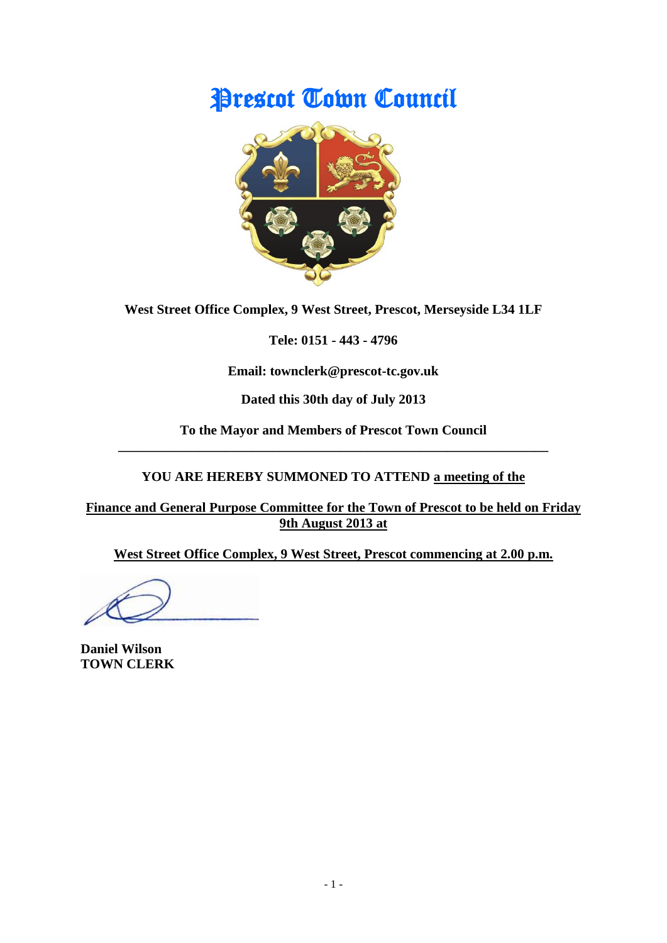# Prescot Town Council



**West Street Office Complex, 9 West Street, Prescot, Merseyside L34 1LF**

**Tele: 0151 - 443 - 4796**

**Email: townclerk@prescot-tc.gov.uk**

**Dated this 30th day of July 2013**

**To the Mayor and Members of Prescot Town Council \_\_\_\_\_\_\_\_\_\_\_\_\_\_\_\_\_\_\_\_\_\_\_\_\_\_\_\_\_\_\_\_\_\_\_\_\_\_\_\_\_\_\_\_\_\_\_\_\_\_\_\_\_\_\_\_\_\_\_\_\_\_\_\_**

## **YOU ARE HEREBY SUMMONED TO ATTEND a meeting of the**

**Finance and General Purpose Committee for the Town of Prescot to be held on Friday 9th August 2013 at**

**West Street Office Complex, 9 West Street, Prescot commencing at 2.00 p.m.**

**Daniel Wilson TOWN CLERK**